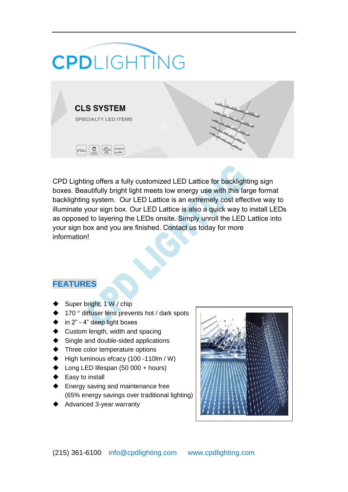## **CPD**LIGHTING



CPD Lighting offers a fully customized LED Lattice for backlighting sign boxes. Beautifully bright light meets low energy use with this large format backlighting system. Our LED Lattice is an extremely cost effective way to illuminate your sign box. Our LED Lattice is also a quick way to install LEDs as opposed to layering the LEDs onsite. Simply unroll the LED Lattice into your sign box and you are finished. Contact us today for more information!

## **FEATURES**

- Super bright, 1 W / chip
- 170 ° diffuser lens prevents hot / dark spots
- $\bullet$  in 2" 4" deep light boxes
- ◆ Custom length, width and spacing
- Single and double-sided applications
- Three color temperature options
- $\blacktriangleright$  High luminous efcacy (100 -110lm / W)
- $\blacktriangleright$  Long LED lifespan (50 000 + hours)
- Easy to install
- Energy saving and maintenance free (65% energy savings over traditional lighting)
- Advanced 3-year warranty